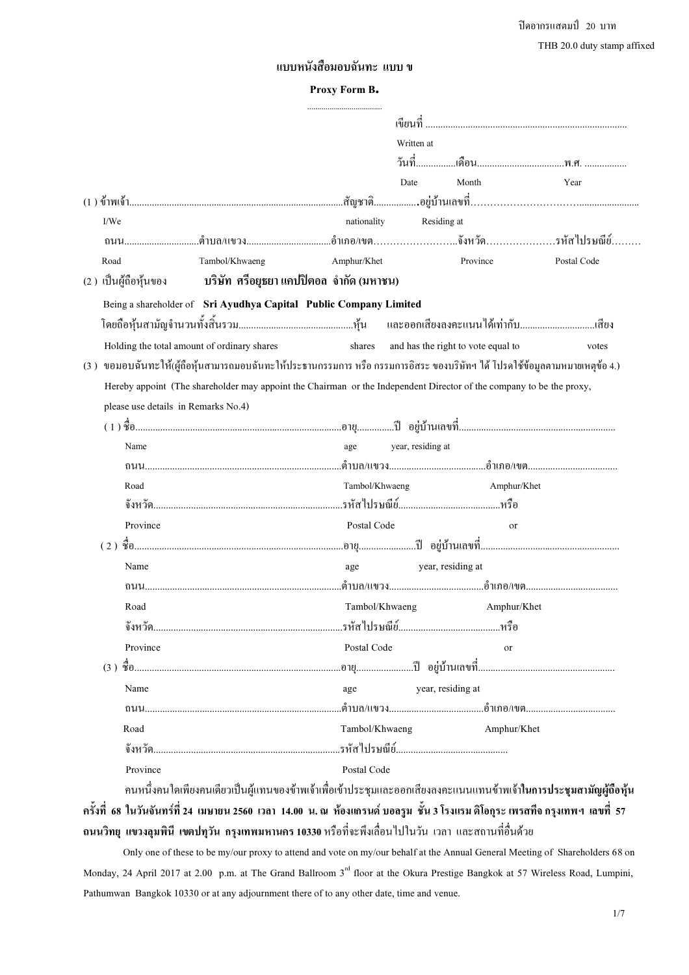$\mathfrak{g}$ ดอากรแสตมป์ 20 บาท THB 20.0 duty stamp affixed

# แบบหนังสือมอบฉันทะ แบบ ข

#### Proxy Form B**.**

|                                     |                                                                                                                              | Written at     |                                    |             |
|-------------------------------------|------------------------------------------------------------------------------------------------------------------------------|----------------|------------------------------------|-------------|
|                                     |                                                                                                                              |                |                                    |             |
|                                     |                                                                                                                              | Date           | Month                              | Year        |
|                                     |                                                                                                                              |                |                                    |             |
| I/We                                |                                                                                                                              | nationality    | Residing at                        |             |
|                                     |                                                                                                                              |                |                                    |             |
| Road                                | Tambol/Khwaeng                                                                                                               | Amphur/Khet    | Province                           | Postal Code |
| (2) เป็นผู้ถือหุ้นของ               | ิ บริษัท  ศรีอยุธยา แคปปิตอล  จำกัด (มหาชน)                                                                                  |                |                                    |             |
|                                     | Being a shareholder of Sri Ayudhya Capital Public Company Limited                                                            |                |                                    |             |
|                                     |                                                                                                                              |                |                                    |             |
|                                     | Holding the total amount of ordinary shares                                                                                  | shares         | and has the right to vote equal to | votes       |
|                                     | (3 ) ขอมอบฉันทะให้(ผู้ถือหุ้นสามารถมอบฉันทะให้ประธานกรรมการ หรือ กรรมการอิสระ ของบริษัทฯ ได้ โปรดใช้ข้อมูลตามหมายเหตุข้อ 4.) |                |                                    |             |
|                                     | Hereby appoint (The shareholder may appoint the Chairman or the Independent Director of the company to be the proxy,         |                |                                    |             |
| please use details in Remarks No.4) |                                                                                                                              |                |                                    |             |
|                                     |                                                                                                                              |                |                                    |             |
| Name                                |                                                                                                                              | age            | year, residing at                  |             |
|                                     |                                                                                                                              |                |                                    |             |
| Road                                |                                                                                                                              | Tambol/Khwaeng | Amphur/Khet                        |             |
|                                     |                                                                                                                              |                |                                    |             |
| Province                            |                                                                                                                              | Postal Code    | <sub>or</sub>                      |             |
|                                     |                                                                                                                              |                |                                    |             |
| Name                                |                                                                                                                              |                | year, residing at                  |             |
|                                     |                                                                                                                              | age            |                                    |             |
|                                     |                                                                                                                              |                |                                    |             |
| Road                                |                                                                                                                              | Tambol/Khwaeng | Amphur/Khet                        |             |
|                                     |                                                                                                                              |                |                                    |             |
| Province                            |                                                                                                                              | Postal Code    | <sub>or</sub>                      |             |
|                                     |                                                                                                                              |                |                                    |             |
| Name                                |                                                                                                                              | age            | year, residing at                  |             |
|                                     |                                                                                                                              |                |                                    |             |
| Road                                |                                                                                                                              | Tambol/Khwaeng | Amphur/Khet                        |             |
|                                     |                                                                                                                              |                |                                    |             |
| Province                            |                                                                                                                              | Postal Code    |                                    |             |

คนหนึ่งคนใดเพียงคนเดียวเป็นผู้แทนของข้าพเจ้าเพื่อเข้าประชุมและออกเสียงลงคะแนนแทนข้าพเจ้า**ในการประชุมสามัญผู้ถือหุ้น** -ครั้งที่ 68 ในวันจันทร์ที่ 24 เมษายน 2560 เวลา 14.00 น. ณ ห้องแกรนด์ บอลรูม ชั้น 3 โรงแรม ดิโอกุระ เพรสทีจ กรุงเทพฯ เลขที่ 57 ถนนวิทยุ แขวงลุมพินี เขตปทุวัน กรุงเทพมหานคร 10330 หรือที่จะพึงเลื่อนไปในวัน เวลา และสถานที่อื่นด้วย

 Only one of these to be my/our proxy to attend and vote on my/our behalf at the Annual General Meeting of Shareholders 68 on Monday, 24 April 2017 at 2.00 p.m. at The Grand Ballroom  $3<sup>rd</sup>$  floor at the Okura Prestige Bangkok at 57 Wireless Road, Lumpini, Pathumwan Bangkok 10330 or at any adjournment there of to any other date, time and venue.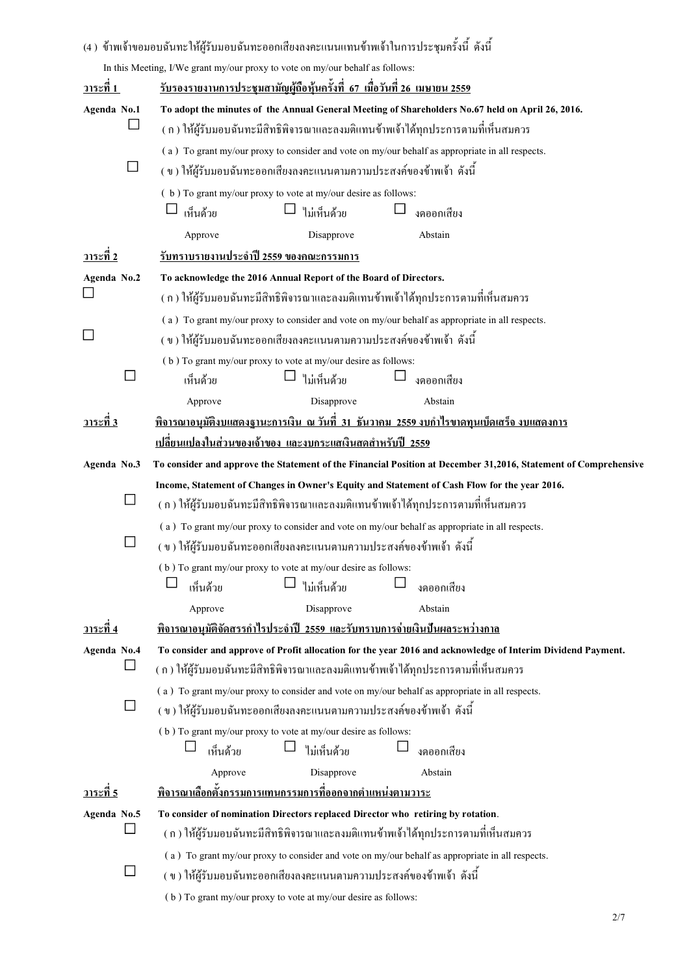|                         | (4 ) ข้าพเจ้าขอมอบฉันทะให้ผู้รับมอบฉันทะออกเสียงลงคะแนนแทนข้าพเจ้าในการประชุมครั้งนี้ ดังนี้                                                                            |  |  |  |  |  |  |
|-------------------------|-------------------------------------------------------------------------------------------------------------------------------------------------------------------------|--|--|--|--|--|--|
|                         | In this Meeting, I/We grant my/our proxy to vote on my/our behalf as follows:                                                                                           |  |  |  |  |  |  |
| <u>วาระที่ 1</u>        | <u>รับรองรายงานการประชุมสามัญผู้ถือหุ้นครั้งที่ 67 เมื่อวันที่ 26 เมษายน 2559</u>                                                                                       |  |  |  |  |  |  |
| Agenda No.1             | To adopt the minutes of the Annual General Meeting of Shareholders No.67 held on April 26, 2016.                                                                        |  |  |  |  |  |  |
|                         | ( ก ) ให้ผู้รับมอบฉันทะมีสิทธิพิจารณาและลงมติแทนข้าพเจ้าได้ทุกประการตามที่เห็นสมควร                                                                                     |  |  |  |  |  |  |
|                         | (a) To grant my/our proxy to consider and vote on my/our behalf as appropriate in all respects.                                                                         |  |  |  |  |  |  |
|                         | ( ข ) ให้ผู้รับมอบฉันทะออกเสียงลงคะแนนตามความประสงค์ของข้าพเจ้า ดังนี้                                                                                                  |  |  |  |  |  |  |
|                         | (b) To grant my/our proxy to vote at my/our desire as follows:<br>ไม่เห็นด้วย<br>เห็นด้วย<br>งคออกเสียง                                                                 |  |  |  |  |  |  |
|                         | Approve<br>Disapprove<br>Abstain                                                                                                                                        |  |  |  |  |  |  |
| <u>วาระที่ 2</u>        | <u>รับทราบรายงานประจำปี 2559 ของคณะกรรมการ</u>                                                                                                                          |  |  |  |  |  |  |
| Agenda No.2             | To acknowledge the 2016 Annual Report of the Board of Directors.                                                                                                        |  |  |  |  |  |  |
|                         | ( ก ) ให้ผู้รับมอบฉันทะมีสิทธิพิจารณาและลงมติแทนข้าพเจ้าได้ทุกประการตามที่เห็นสมควร                                                                                     |  |  |  |  |  |  |
|                         | (a) To grant my/our proxy to consider and vote on my/our behalf as appropriate in all respects.                                                                         |  |  |  |  |  |  |
|                         | ( ข ) ให้ผู้รับมอบฉันทะออกเสียงลงคะแนนตามความประสงค์ของข้าพเจ้า ดังนี้                                                                                                  |  |  |  |  |  |  |
|                         | (b) To grant my/our proxy to vote at my/our desire as follows:                                                                                                          |  |  |  |  |  |  |
|                         | ไม่เห็นด้วย<br>งคออกเสียง<br>เห็นด้วย                                                                                                                                   |  |  |  |  |  |  |
|                         | Disapprove<br>Abstain<br>Approve                                                                                                                                        |  |  |  |  |  |  |
| <u>วาระที่ 3</u>        | <u>พิจารณาอนุมัติงบแสดงฐานะการเงิน ณ วันที่ 31 ธันวาคม 2559 งบกำไรขาดทุนเบ็ดเสร็จ งบแสดงการ</u>                                                                         |  |  |  |  |  |  |
|                         | <u>เปลี่ยนแปลงในส่วนของเจ้าของ และงบกระแสเงินสดสำหรับปี 2559</u>                                                                                                        |  |  |  |  |  |  |
| Agenda No.3             | To consider and approve the Statement of the Financial Position at December 31,2016, Statement of Comprehensive                                                         |  |  |  |  |  |  |
|                         | Income, Statement of Changes in Owner's Equity and Statement of Cash Flow for the year 2016.                                                                            |  |  |  |  |  |  |
| ⊔                       | ( ก ) ให้ผู้รับมอบฉันทะมีสิทธิพิจารณาและลงมติแทนข้าพเจ้าได้ทุกประการตามที่เห็นสมควร                                                                                     |  |  |  |  |  |  |
|                         | (a) To grant my/our proxy to consider and vote on my/our behalf as appropriate in all respects.                                                                         |  |  |  |  |  |  |
|                         | ( ข ) ให้ผู้รับมอบฉันทะออกเสียงลงคะแนนตามความประสงค์ของข้าพเจ้า ดังนี้                                                                                                  |  |  |  |  |  |  |
|                         | (b) To grant my/our proxy to vote at my/our desire as follows:                                                                                                          |  |  |  |  |  |  |
|                         | ไม่เห็นด้วย<br>เห็นด้วย<br>งดออกเสียง                                                                                                                                   |  |  |  |  |  |  |
|                         | Approve<br>Disapprove<br>Abstain                                                                                                                                        |  |  |  |  |  |  |
| วาระที่ 4               | <u>พิจารณาอนุมัติจัดสรรกำไรประจำปี 2559 และรับทราบการจ่ายเงินปืนผลระหว่างกาล</u>                                                                                        |  |  |  |  |  |  |
| Agenda No.4<br>$\sqcup$ | To consider and approve of Profit allocation for the year 2016 and acknowledge of Interim Dividend Payment.                                                             |  |  |  |  |  |  |
|                         | ( ก ) ให้ผู้รับมอบฉันทะมีสิทธิพิจารณาและลงมติแทนข้าพเจ้าใค้ทุกประการตามที่เห็นสมควร                                                                                     |  |  |  |  |  |  |
|                         | (a) To grant my/our proxy to consider and vote on my/our behalf as appropriate in all respects.<br>(ข) ให้ผู้รับมอบฉันทะออกเสียงลงคะแนนตามความประสงค์ของข้าพเจ้า ดังนี้ |  |  |  |  |  |  |
|                         | (b) To grant my/our proxy to vote at my/our desire as follows:                                                                                                          |  |  |  |  |  |  |
|                         | ไม่เห็นด้วย<br>เห็นด้วย<br>งดออกเสียง                                                                                                                                   |  |  |  |  |  |  |
|                         | Disapprove<br>Abstain<br>Approve                                                                                                                                        |  |  |  |  |  |  |
| <u>วาระที่ 5</u>        | <u>พิจารณาเลือกตั้งกรรมการแทนกรรมการที่ออกจากตำแหน่งตามวาระ</u>                                                                                                         |  |  |  |  |  |  |
| Agenda No.5             | To consider of nomination Directors replaced Director who retiring by rotation.                                                                                         |  |  |  |  |  |  |
|                         | ( ก ) ให้ผู้รับมอบฉันทะมีสิทธิพิจารณาและลงมติแทนข้าพเจ้าได้ทุกประการตามที่เห็นสมควร                                                                                     |  |  |  |  |  |  |
|                         | (a) To grant my/our proxy to consider and vote on my/our behalf as appropriate in all respects.                                                                         |  |  |  |  |  |  |
|                         | (ข) ให้ผู้รับมอบฉันทะออกเสียงลงคะแนนตามความประสงค์ของข้าพเจ้า ดังนี้                                                                                                    |  |  |  |  |  |  |
|                         |                                                                                                                                                                         |  |  |  |  |  |  |

| $\sqrt{7}$ |
|------------|
|------------|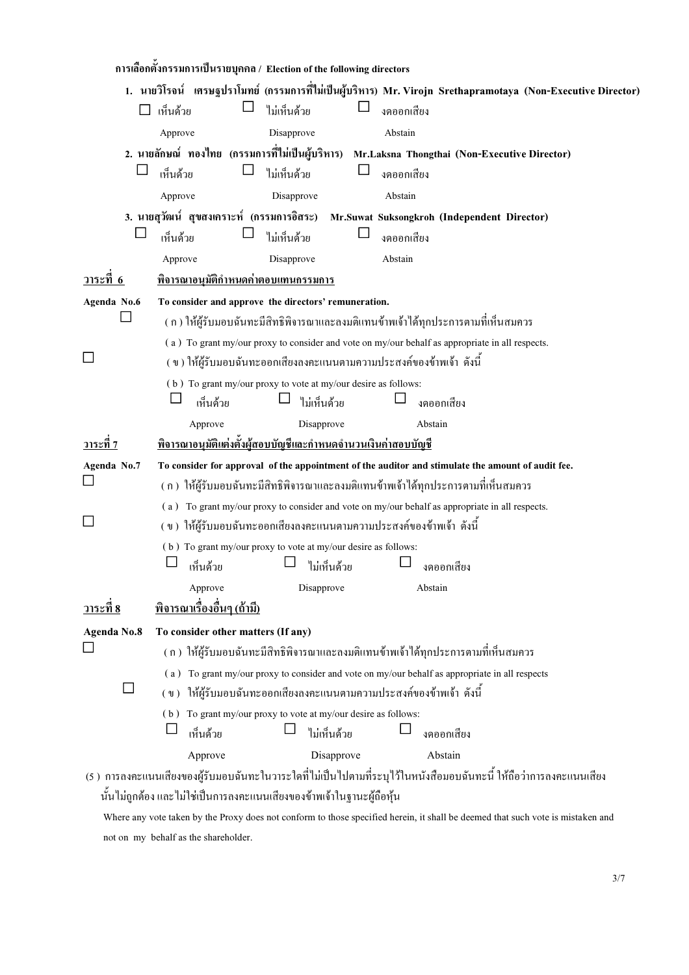|                    |          |                                    |                                            | ิ การเลือกตั้งกรรมการเป็นรายบุคคล / Election of the following directors |            |         |                                                                                                                     |  |
|--------------------|----------|------------------------------------|--------------------------------------------|-------------------------------------------------------------------------|------------|---------|---------------------------------------------------------------------------------------------------------------------|--|
|                    |          |                                    |                                            |                                                                         |            |         | 1. นายวิโรจน์ เศรษฐปราโมทย์ (กรรมการที่ไม่เป็นผู้บริหาร) Mr. Virojn Srethapramotaya (Non-Executive Director)        |  |
|                    | เห็นด้วย |                                    | ไม่เห็นด้วย                                |                                                                         | งดออกเสียง |         |                                                                                                                     |  |
|                    | Approve  |                                    | Disapprove                                 |                                                                         | Abstain    |         |                                                                                                                     |  |
|                    |          |                                    |                                            |                                                                         |            |         | 2. นายลักษณ์ ทองไทย (กรรมการที่ไม่เป็นผู้บริหาร) Mr.Laksna Thongthai (Non-Executive Director)                       |  |
|                    | เห็นด้วย |                                    | ไม่เห็นด้วย                                |                                                                         | งดออกเสียง |         |                                                                                                                     |  |
|                    | Approve  |                                    | Disapprove                                 |                                                                         | Abstain    |         |                                                                                                                     |  |
|                    |          |                                    |                                            |                                                                         |            |         | 3. นายสุวัฒน์ สุขสงเคราะห์ (กรรมการอิสระ) Mr.Suwat Suksongkroh (Independent Director)                               |  |
|                    | เห็นด้วย |                                    | ไม่เห็นด้วย                                |                                                                         | งดออกเสียง |         |                                                                                                                     |  |
|                    | Approve  |                                    | Disapprove                                 |                                                                         | Abstain    |         |                                                                                                                     |  |
| วาระที่ 6          |          |                                    | <u>พิจารณาอนุมัติกำหนดค่าตอบแทนกรรมการ</u> |                                                                         |            |         |                                                                                                                     |  |
| Agenda No.6        |          |                                    |                                            | To consider and approve the directors' remuneration.                    |            |         |                                                                                                                     |  |
|                    |          |                                    |                                            |                                                                         |            |         | ( ก ) ให้ผู้รับมอบฉันทะมีสิทธิพิจารณาและลงมติแทนข้าพเจ้าได้ทุกประการตามที่เห็นสมควร                                 |  |
|                    |          |                                    |                                            |                                                                         |            |         | (a) To grant my/our proxy to consider and vote on my/our behalf as appropriate in all respects.                     |  |
|                    |          |                                    |                                            | (ข) ให้ผู้รับมอบฉันทะออกเสียงลงคะแนนตามความประสงค์ของข้าพเจ้า ดังนี้    |            |         |                                                                                                                     |  |
|                    |          |                                    |                                            | (b) To grant my/our proxy to vote at my/our desire as follows:          |            |         |                                                                                                                     |  |
|                    |          | เห็นด้วย                           |                                            | ไม่เห็นด้วย                                                             |            |         | งคออกเสียง                                                                                                          |  |
|                    |          | Approve                            | Disapprove                                 |                                                                         |            | Abstain |                                                                                                                     |  |
| <u>วาระที่ 7</u>   |          |                                    |                                            | <u>พิจารณาอนุมัติแต่งตั้งผู้สอบบัญชีและกำหนดจำนวนเงินค่าสอบบัญชี</u>    |            |         |                                                                                                                     |  |
| Agenda No.7        |          |                                    |                                            |                                                                         |            |         | To consider for approval of the appointment of the auditor and stimulate the amount of audit fee.                   |  |
|                    |          |                                    |                                            |                                                                         |            |         | ( ก )  ให้ผู้รับมอบฉันทะมีสิทธิพิจารณาและลงมติแทนข้าพเจ้าได้ทุกประการตามที่เห็นสมควร                                |  |
|                    |          |                                    |                                            |                                                                         |            |         | (a) To grant my/our proxy to consider and vote on my/our behalf as appropriate in all respects.                     |  |
|                    |          |                                    |                                            | ( ข ) ให้ผู้รับมอบฉันทะออกเสียงลงคะแนนตามความประสงค์ของข้าพเจ้า ดังนี้  |            |         |                                                                                                                     |  |
|                    |          |                                    |                                            | (b) To grant my/our proxy to vote at my/our desire as follows:          |            |         |                                                                                                                     |  |
|                    |          | เห็นด้วย                           |                                            | ไม่เห็นด้วย                                                             |            |         | งดออกเสียง                                                                                                          |  |
|                    |          | Approve                            | Disapprove                                 |                                                                         |            | Abstain |                                                                                                                     |  |
| <u>วาระที่ 8</u>   |          | <u>พิจารณาเรื่องอื่นๆ (ถ้ามี)</u>  |                                            |                                                                         |            |         |                                                                                                                     |  |
| <b>Agenda No.8</b> |          | To consider other matters (If any) |                                            |                                                                         |            |         |                                                                                                                     |  |
|                    |          |                                    |                                            |                                                                         |            |         | (ก) ให้ผู้รับมอบฉันทะมีสิทธิพิจารณาและลงมติแทนข้าพเจ้าได้ทุกประการตามที่เห็นสมควร                                   |  |
|                    | (a)      |                                    |                                            |                                                                         |            |         | To grant my/our proxy to consider and vote on my/our behalf as appropriate in all respects                          |  |
| ⊔                  |          |                                    |                                            | (ข) ให้ผู้รับมอบฉันทะออกเสียงลงคะแนนตามความประสงค์ของข้าพเจ้า ดังนี้    |            |         |                                                                                                                     |  |
|                    |          |                                    |                                            | (b) To grant my/our proxy to vote at my/our desire as follows:          |            |         |                                                                                                                     |  |
|                    |          | เห็นด้วย                           |                                            | ไม่เห็นด้วย                                                             |            |         | งดออกเสียง                                                                                                          |  |
|                    |          | Approve                            |                                            | Disapprove                                                              |            |         | Abstain                                                                                                             |  |
|                    |          |                                    |                                            |                                                                         |            |         | (5 ) การลงคะแนนเสียงของผู้รับมอบฉันทะในวาระใดที่ไม่เป็นไปตามที่ระบุไว้ในหนังสือมอบฉันทะนี้ ให้ถือว่าการลงคะแนนเสียง |  |
|                    |          |                                    |                                            | นั้นไม่ถูกต้อง และไม่ใช่เป็นการลงคะแนนเสียงของข้าพเจ้าในฐานะผู้ถือหุ้น  |            |         |                                                                                                                     |  |

 Where any vote taken by the Proxy does not conform to those specified herein, it shall be deemed that such vote is mistaken and not on my behalf as the shareholder.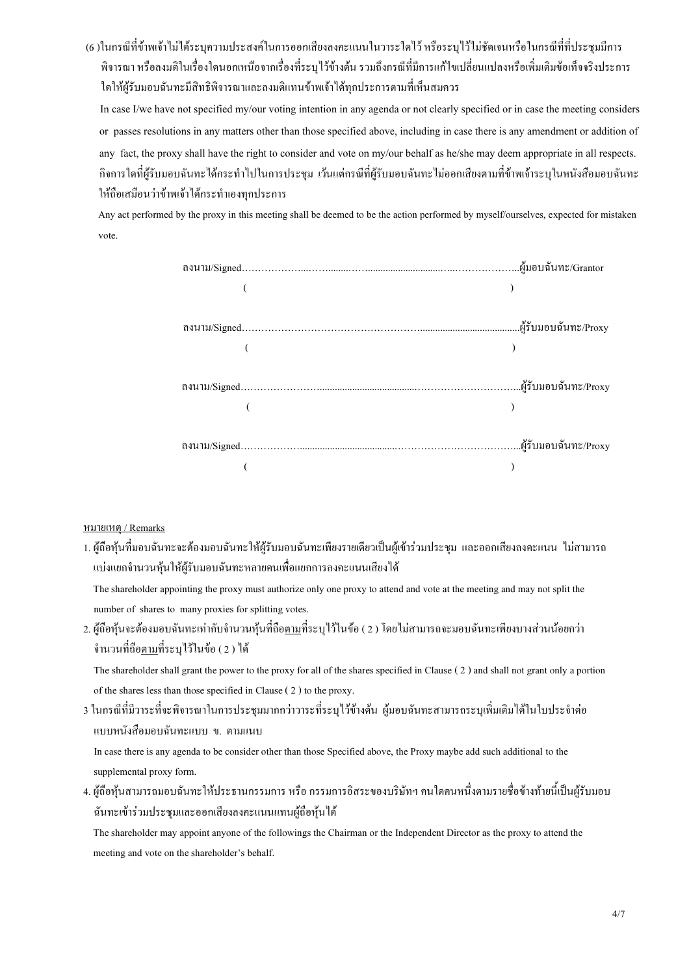(6 )ในกรณีที่ข้าพเจ้าไม่ได้ระบุความประสงค์ในการออกเสียงลงคะแนนในวาระใดไว้ หรือระบุไว้ไม่ชัดเจนหรือในกรณีที่ที่ประชุมมีการ พิจารณา หรือลงมติในเรื่องใคนอกเหนือจากเรื่องที่ระบุไว้ข้างต้น รวมถึงกรณีที่มีการแก้ไขเปลี่ยนแปลงหรือเพิ่มเติมข้อเท็จจริงประการ ใดให้ผู้รับมอบฉันทะมีสิทธิพิจารณาและลงมติแทนข้าพเจ้าได้ทุกประการตามที่เห็นสมควร

 In case I/we have not specified my/our voting intention in any agenda or not clearly specified or in case the meeting considers or passes resolutions in any matters other than those specified above, including in case there is any amendment or addition of any fact, the proxy shall have the right to consider and vote on my/our behalf as he/she may deem appropriate in all respects. กิจการใดที่ผู้รับมอบฉันทะได้กระทำไปในการประชุม เว้นแต่กรณีที่ผู้รับมอบฉันทะไม่ออกเสียงตามที่ข้าพเจ้าระบุในหนังสือมอบฉันทะ ให้ถือเสมือนว่าข้าพเจ้าใด้กระทำเองทุกประการ

 Any act performed by the proxy in this meeting shall be deemed to be the action performed by myself/ourselves, expected for mistaken vote.

# <u>หมายเหตุ / Remarks</u>

1. ผู้ถือหุ้นที่มอบฉันทะจะต้องมอบฉันทะให้ผู้รับมอบฉันทะเพียงรายเดียวเป็นผู้เข้าร่วมประชุม และออกเสียงลงคะแนน ใม่สามารถ -ี แบ่งแยกจำนวนหุ้นให้ผู้รับมอบฉันทะหลายคนเพื่อแยกการลงคะแนนเสียงได้

 The shareholder appointing the proxy must authorize only one proxy to attend and vote at the meeting and may not split the number of shares to many proxies for splitting votes.

2. ผู้ถือหุ้นจะต้องมอบฉันทะเท่ากับจำนวนหุ้นที่ถือ<u>ตาม</u>ที่ระบุไว้ในข้อ ( 2 ) โดยใม่สามารถจะมอบฉันทะเพียงบางส่วนน้อยกว่า จำนวนที่ถือ<u>ตาม</u>ที่ระบุไว้ในข้อ ( 2 ) ได้

 The shareholder shall grant the power to the proxy for all of the shares specified in Clause ( 2 ) and shall not grant only a portion of the shares less than those specified in Clause ( 2 ) to the proxy.

3 ในกรณีที่มีวาระที่จะพิจารณาในการประชุมมากกว่าวาระที่ระบุไว้ข้างศ้น ผู้มอบฉันทะสามารถระบุเพิ่มเติมได้ในใบประจำต่อ .แบบหนังสือมอบฉันทะแบบ ข. ตามแนบ

In case there is any agenda to be consider other than those Specified above, the Proxy maybe add such additional to the supplemental proxy form.

4. ผู้ถือหุ้นสามารถมอบฉันทะให้ประธานกรรมการ หรือ กรรมการอิสระของบริษัทฯ คนใดคนหนึ่งตามรายชื่อข้างท้ายนี้เป็นผู้รับมอบ ฉันทะเข้าร่วมประชุมและออกเสียงลงคะแนนแทนผู้ถือหุ้นใด้

 The shareholder may appoint anyone of the followings the Chairman or the Independent Director as the proxy to attend the meeting and vote on the shareholder's behalf.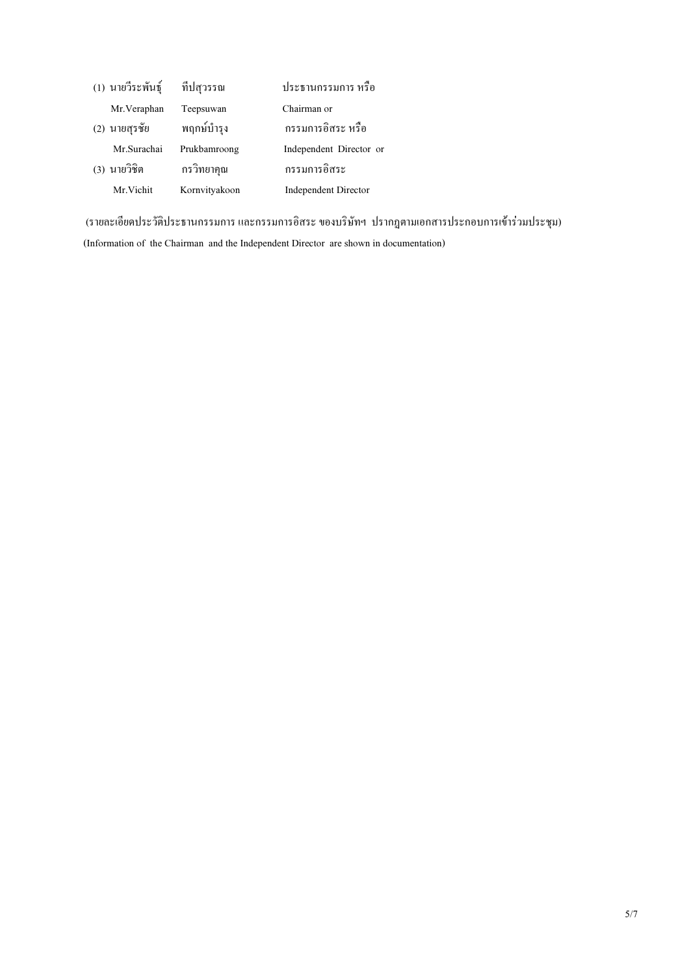| (1) นายวีระพันธุ์ | ที่ปสุวรรณ    | ประธานกรรมการ หรือ          |
|-------------------|---------------|-----------------------------|
| Mr. Veraphan      | Teepsuwan     | Chairman or                 |
| (2) นายสุรชัย     | พฤกษ์บำรุง    | กรรมการอิสระ หรือ           |
| Mr.Surachai       | Prukbamroong  | Independent Director or     |
| (3) นายวิชิต      | กรวิทยาคุณ    | กรรมการอิสระ                |
| Mr. Vichit        | Kornvityakoon | <b>Independent Director</b> |

(รายละเอียดประวัติประธานกรรมการ และกรรมการอิสระ ของบริษัทฯ ปรากฏตามเอกสารประกอบการเข้าร่วมประชุม) (Information of the Chairman and the Independent Director are shown in documentation)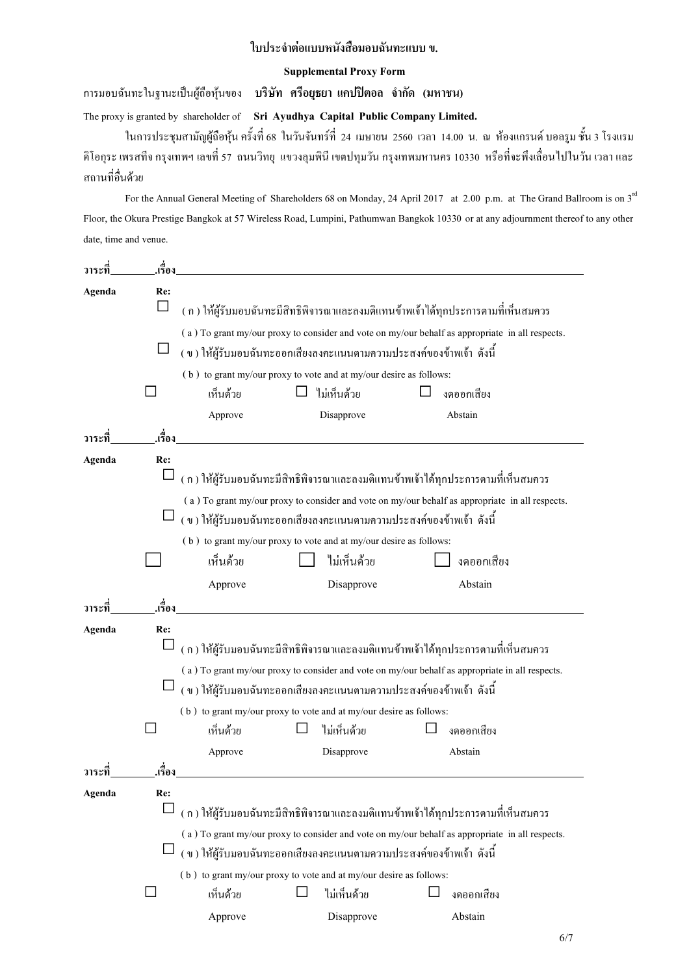# ใบประจำต่อแบบหนังสือมอบฉันทะแบบ ข.

### Supplemental Proxy Form

การมอบฉันทะในฐานะเป็นผู้ถือหุ้นของ **บริษัท ศรีอยุธยา แคปปิตอล จำกัด (มหาชน)** 

The proxy is granted by shareholder of Sri Ayudhya Capital Public Company Limited.

ในการประชุมสามัญผู้ถือหุ้น ครั้งที่ 68 ในวันจันทร์ที่ 24 เมษายน 2560 เวลา 14.00 น. ณ ห้องแกรนด์ บอลรูม ชั้น 3 โรงแรม ดิโอกุระ เพรสที่ง กรุงเทพฯ เลขที่ 57 ถนนวิทยุ แขวงลุมพินี เขตปทุมวัน กรุงเทพมหานคร 10330 หรือที่งะพึงเลื่อนไปในวัน เวลา และ สถานที่อื่นด้วย

For the Annual General Meeting of Shareholders 68 on Monday, 24 April 2017 at 2.00 p.m. at The Grand Ballroom is on 3<sup>rd</sup> Floor, the Okura Prestige Bangkok at 57 Wireless Road, Lumpini, Pathumwan Bangkok 10330 or at any adjournment thereof to any other date, time and venue.

| วาระที่ | .เรื่อง |                                                                                   |                                                                        |                                                                                                 |  |  |  |  |  |
|---------|---------|-----------------------------------------------------------------------------------|------------------------------------------------------------------------|-------------------------------------------------------------------------------------------------|--|--|--|--|--|
| Agenda  | Re:     |                                                                                   |                                                                        |                                                                                                 |  |  |  |  |  |
|         | $\Box$  |                                                                                   |                                                                        | ( ก ) ให้ผู้รับมอบฉันทะมีสิทธิพิจารณาและลงมติแทนข้าพเจ้าใค้ทุกประการตามที่เห็นสมควร             |  |  |  |  |  |
|         |         |                                                                                   |                                                                        | (a) To grant my/our proxy to consider and vote on my/our behalf as appropriate in all respects. |  |  |  |  |  |
|         |         |                                                                                   | ( ข ) ให้ผู้รับมอบฉันทะออกเสียงลงคะแนนตามความประสงค์ของข้าพเจ้า ดังนี้ |                                                                                                 |  |  |  |  |  |
|         |         |                                                                                   | (b) to grant my/our proxy to vote and at my/our desire as follows:     |                                                                                                 |  |  |  |  |  |
|         |         | เห็นด้วย                                                                          | ไม่เห็นด้วย                                                            | งคออกเสียง                                                                                      |  |  |  |  |  |
|         |         | Approve                                                                           | Disapprove                                                             | Abstain                                                                                         |  |  |  |  |  |
| วาระที่ | .เรื่อง |                                                                                   |                                                                        |                                                                                                 |  |  |  |  |  |
| Agenda  | Re:     |                                                                                   |                                                                        |                                                                                                 |  |  |  |  |  |
|         |         |                                                                                   |                                                                        | (ก) ให้ผู้รับมอบฉันทะมีสิทธิพิจารณาและลงมติแทนข้าพเจ้าใค้ทุกประการตามที่เห็นสมควร               |  |  |  |  |  |
|         |         |                                                                                   |                                                                        | (a) To grant my/our proxy to consider and vote on my/our behalf as appropriate in all respects. |  |  |  |  |  |
|         |         | (ข) ให้ผู้รับมอบฉันทะออกเสียงลงคะแนนตามความประสงค์ของข้าพเจ้า ดังนี้              |                                                                        |                                                                                                 |  |  |  |  |  |
|         |         |                                                                                   | (b) to grant my/our proxy to vote and at my/our desire as follows:     |                                                                                                 |  |  |  |  |  |
|         |         | เห็นด้วย                                                                          | ไม่เห็นด้วย                                                            | งดออกเสียง                                                                                      |  |  |  |  |  |
|         |         | Approve                                                                           | Disapprove                                                             | Abstain                                                                                         |  |  |  |  |  |
| วาระที่ | .เรื่อง |                                                                                   |                                                                        |                                                                                                 |  |  |  |  |  |
| Agenda  | Re:     |                                                                                   |                                                                        |                                                                                                 |  |  |  |  |  |
|         |         | (ก) ให้ผู้รับมอบฉันทะมีสิทธิพิจารณาและลงมติแทนข้าพเจ้าใค้ทุกประการตามที่เห็นสมควร |                                                                        |                                                                                                 |  |  |  |  |  |
|         |         |                                                                                   |                                                                        | (a) To grant my/our proxy to consider and vote on my/our behalf as appropriate in all respects. |  |  |  |  |  |
|         |         |                                                                                   | (ข) ให้ผู้รับมอบฉันทะออกเสียงลงคะแนนตามความประสงค์ของข้าพเจ้า ดังนี้   |                                                                                                 |  |  |  |  |  |
|         |         |                                                                                   | (b) to grant my/our proxy to vote and at my/our desire as follows:     |                                                                                                 |  |  |  |  |  |
|         | $\sim$  | เห็นด้วย                                                                          | ไม่เห็นด้วย                                                            | งดออกเสียง                                                                                      |  |  |  |  |  |
|         |         | Approve                                                                           | Disapprove                                                             | Abstain                                                                                         |  |  |  |  |  |
| วาระที่ | เรื่อง  |                                                                                   |                                                                        |                                                                                                 |  |  |  |  |  |
| Agenda  | Re:     |                                                                                   |                                                                        |                                                                                                 |  |  |  |  |  |
|         |         |                                                                                   |                                                                        | ( ก ) ให้ผู้รับมอบฉันทะมีสิทธิพิจารณาและลงมติแทนข้าพเจ้าได้ทุกประการตามที่เห็นสมควร             |  |  |  |  |  |
|         |         |                                                                                   |                                                                        | (a) To grant my/our proxy to consider and vote on my/our behalf as appropriate in all respects. |  |  |  |  |  |
|         |         |                                                                                   | ึ่ง ) ให้ผู้รับมอบฉันทะออกเสียงลงคะแนนตามความประสงค์ของข้าพเจ้า ดังนี้ |                                                                                                 |  |  |  |  |  |
|         |         |                                                                                   | (b) to grant my/our proxy to vote and at my/our desire as follows:     |                                                                                                 |  |  |  |  |  |
|         |         | เห็นด้วย                                                                          | ไม่เห็นด้วย                                                            | งดออกเสียง                                                                                      |  |  |  |  |  |
|         |         | Approve                                                                           | Disapprove                                                             | Abstain                                                                                         |  |  |  |  |  |